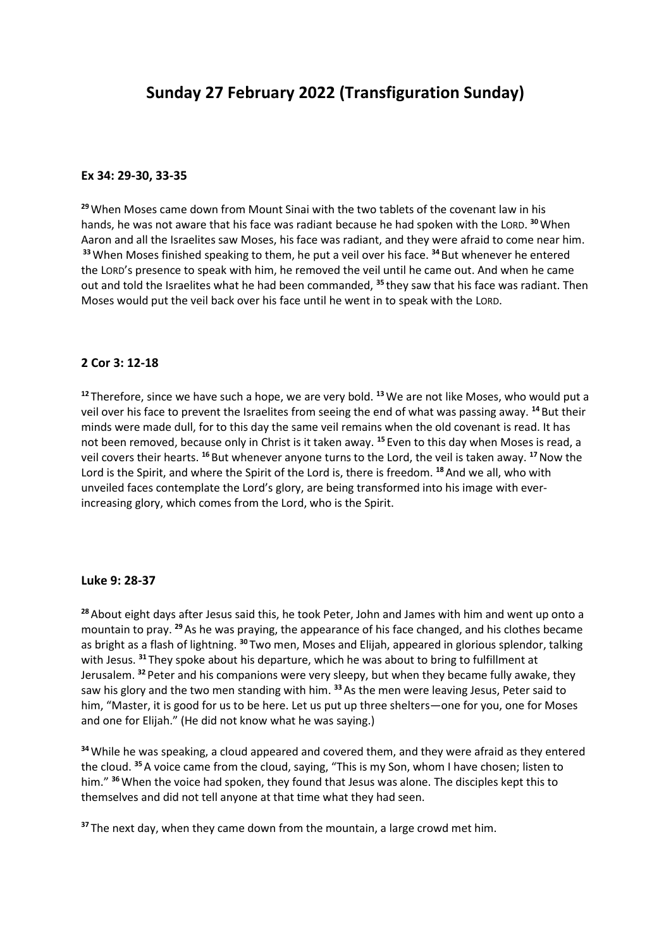### **Ex 34: 29-30, 33-35**

**<sup>29</sup>**When Moses came down from Mount Sinai with the two tablets of the covenant law in his hands, he was not aware that his face was radiant because he had spoken with the LORD. **<sup>30</sup>**When Aaron and all the Israelites saw Moses, his face was radiant, and they were afraid to come near him. **<sup>33</sup>**When Moses finished speaking to them, he put a veil over his face. **<sup>34</sup>** But whenever he entered the LORD's presence to speak with him, he removed the veil until he came out. And when he came out and told the Israelites what he had been commanded, **<sup>35</sup>** they saw that his face was radiant. Then Moses would put the veil back over his face until he went in to speak with the LORD.

## **2 Cor 3: 12-18**

**<sup>12</sup>** Therefore, since we have such a hope, we are very bold. **<sup>13</sup>**We are not like Moses, who would put a veil over his face to prevent the Israelites from seeing the end of what was passing away. **<sup>14</sup>** But their minds were made dull, for to this day the same veil remains when the old covenant is read. It has not been removed, because only in Christ is it taken away. **<sup>15</sup>** Even to this day when Moses is read, a veil covers their hearts. **<sup>16</sup>** But whenever anyone turns to the Lord, the veil is taken away. **<sup>17</sup>**Now the Lord is the Spirit, and where the Spirit of the Lord is, there is freedom. **<sup>18</sup>**And we all, who with unveiled faces contemplate the Lord's glory, are being transformed into his image with everincreasing glory, which comes from the Lord, who is the Spirit.

#### **Luke 9: 28-37**

**<sup>28</sup>**About eight days after Jesus said this, he took Peter, John and James with him and went up onto a mountain to pray. **<sup>29</sup>**As he was praying, the appearance of his face changed, and his clothes became as bright as a flash of lightning. **<sup>30</sup>** Two men, Moses and Elijah, appeared in glorious splendor, talking with Jesus. **<sup>31</sup>** They spoke about his departure, which he was about to bring to fulfillment at Jerusalem. **<sup>32</sup>** Peter and his companions were very sleepy, but when they became fully awake, they saw his glory and the two men standing with him. **<sup>33</sup>**As the men were leaving Jesus, Peter said to him, "Master, it is good for us to be here. Let us put up three shelters—one for you, one for Moses and one for Elijah." (He did not know what he was saying.)

**<sup>34</sup>**While he was speaking, a cloud appeared and covered them, and they were afraid as they entered the cloud. **<sup>35</sup>**A voice came from the cloud, saying, "This is my Son, whom I have chosen; listen to him." **<sup>36</sup>**When the voice had spoken, they found that Jesus was alone. The disciples kept this to themselves and did not tell anyone at that time what they had seen.

**<sup>37</sup>** The next day, when they came down from the mountain, a large crowd met him.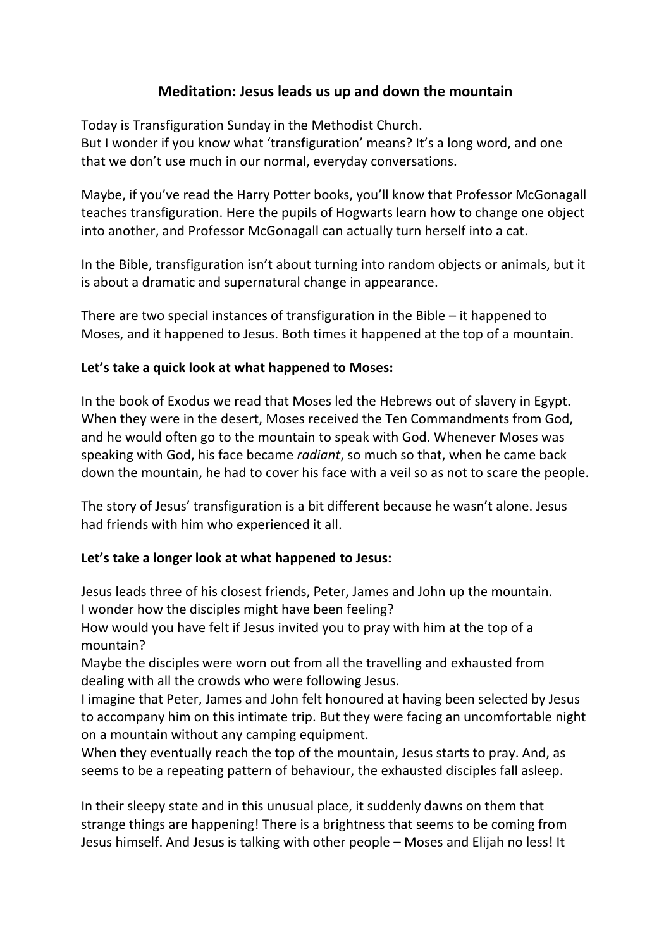# **Meditation: Jesus leads us up and down the mountain**

Today is Transfiguration Sunday in the Methodist Church. But I wonder if you know what 'transfiguration' means? It's a long word, and one that we don't use much in our normal, everyday conversations.

Maybe, if you've read the Harry Potter books, you'll know that Professor McGonagall teaches transfiguration. Here the pupils of Hogwarts learn how to change one object into another, and Professor McGonagall can actually turn herself into a cat.

In the Bible, transfiguration isn't about turning into random objects or animals, but it is about a dramatic and supernatural change in appearance.

There are two special instances of transfiguration in the Bible – it happened to Moses, and it happened to Jesus. Both times it happened at the top of a mountain.

# **Let's take a quick look at what happened to Moses:**

In the book of Exodus we read that Moses led the Hebrews out of slavery in Egypt. When they were in the desert, Moses received the Ten Commandments from God, and he would often go to the mountain to speak with God. Whenever Moses was speaking with God, his face became *radiant*, so much so that, when he came back down the mountain, he had to cover his face with a veil so as not to scare the people.

The story of Jesus' transfiguration is a bit different because he wasn't alone. Jesus had friends with him who experienced it all.

# **Let's take a longer look at what happened to Jesus:**

Jesus leads three of his closest friends, Peter, James and John up the mountain. I wonder how the disciples might have been feeling?

How would you have felt if Jesus invited you to pray with him at the top of a mountain?

Maybe the disciples were worn out from all the travelling and exhausted from dealing with all the crowds who were following Jesus.

I imagine that Peter, James and John felt honoured at having been selected by Jesus to accompany him on this intimate trip. But they were facing an uncomfortable night on a mountain without any camping equipment.

When they eventually reach the top of the mountain, Jesus starts to pray. And, as seems to be a repeating pattern of behaviour, the exhausted disciples fall asleep.

In their sleepy state and in this unusual place, it suddenly dawns on them that strange things are happening! There is a brightness that seems to be coming from Jesus himself. And Jesus is talking with other people – Moses and Elijah no less! It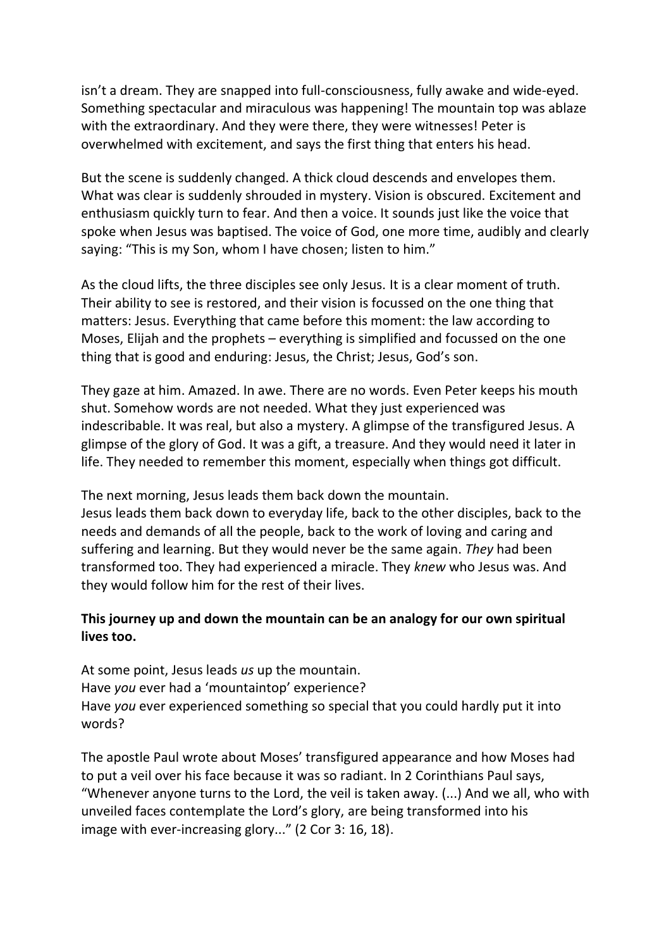isn't a dream. They are snapped into full-consciousness, fully awake and wide-eyed. Something spectacular and miraculous was happening! The mountain top was ablaze with the extraordinary. And they were there, they were witnesses! Peter is overwhelmed with excitement, and says the first thing that enters his head.

But the scene is suddenly changed. A thick cloud descends and envelopes them. What was clear is suddenly shrouded in mystery. Vision is obscured. Excitement and enthusiasm quickly turn to fear. And then a voice. It sounds just like the voice that spoke when Jesus was baptised. The voice of God, one more time, audibly and clearly saying: "This is my Son, whom I have chosen; listen to him."

As the cloud lifts, the three disciples see only Jesus. It is a clear moment of truth. Their ability to see is restored, and their vision is focussed on the one thing that matters: Jesus. Everything that came before this moment: the law according to Moses, Elijah and the prophets – everything is simplified and focussed on the one thing that is good and enduring: Jesus, the Christ; Jesus, God's son.

They gaze at him. Amazed. In awe. There are no words. Even Peter keeps his mouth shut. Somehow words are not needed. What they just experienced was indescribable. It was real, but also a mystery. A glimpse of the transfigured Jesus. A glimpse of the glory of God. It was a gift, a treasure. And they would need it later in life. They needed to remember this moment, especially when things got difficult.

The next morning, Jesus leads them back down the mountain. Jesus leads them back down to everyday life, back to the other disciples, back to the needs and demands of all the people, back to the work of loving and caring and suffering and learning. But they would never be the same again. *They* had been transformed too. They had experienced a miracle. They *knew* who Jesus was. And they would follow him for the rest of their lives.

# **This journey up and down the mountain can be an analogy for our own spiritual lives too.**

At some point, Jesus leads *us* up the mountain. Have *you* ever had a 'mountaintop' experience? Have *you* ever experienced something so special that you could hardly put it into words?

The apostle Paul wrote about Moses' transfigured appearance and how Moses had to put a veil over his face because it was so radiant. In 2 Corinthians Paul says, "Whenever anyone turns to the Lord, the veil is taken away. (...) And we all, who with unveiled faces contemplate the Lord's glory, are being transformed into his image with ever-increasing glory..." (2 Cor 3: 16, 18).